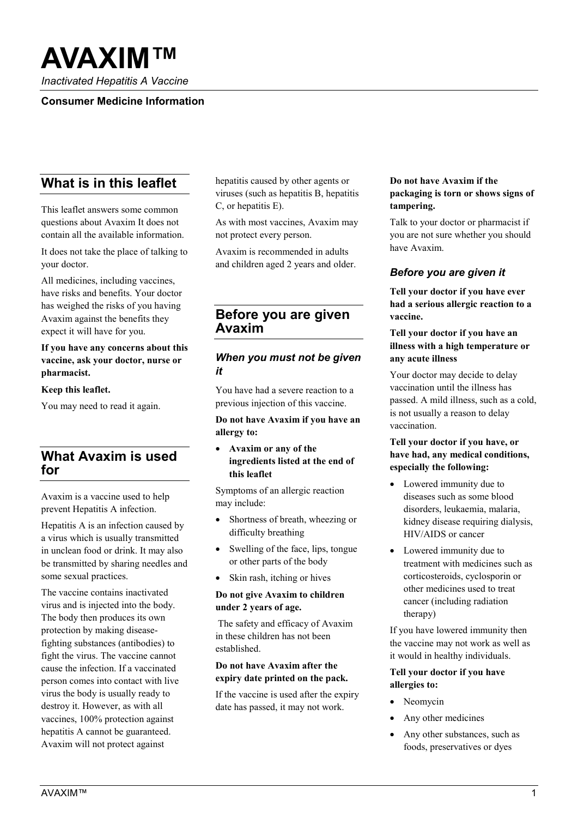# **AVAXIM™**

*Inactivated Hepatitis A Vaccine*

### **Consumer Medicine Information**

# **What is in this leaflet**

This leaflet answers some common questions about Avaxim It does not contain all the available information.

It does not take the place of talking to your doctor.

All medicines, including vaccines, have risks and benefits. Your doctor has weighed the risks of you having Avaxim against the benefits they expect it will have for you.

### **If you have any concerns about this vaccine, ask your doctor, nurse or pharmacist.**

**Keep this leaflet.**

You may need to read it again.

# **What Avaxim is used for**

Avaxim is a vaccine used to help prevent Hepatitis A infection.

Hepatitis A is an infection caused by a virus which is usually transmitted in unclean food or drink. It may also be transmitted by sharing needles and some sexual practices.

The vaccine contains inactivated virus and is injected into the body. The body then produces its own protection by making diseasefighting substances (antibodies) to fight the virus. The vaccine cannot cause the infection. If a vaccinated person comes into contact with live virus the body is usually ready to destroy it. However, as with all vaccines, 100% protection against hepatitis A cannot be guaranteed. Avaxim will not protect against

hepatitis caused by other agents or viruses (such as hepatitis B, hepatitis C, or hepatitis E).

As with most vaccines, Avaxim may not protect every person.

Avaxim is recommended in adults and children aged 2 years and older.

# **Before you are given Avaxim**

### *When you must not be given it*

You have had a severe reaction to a previous injection of this vaccine.

#### **Do not have Avaxim if you have an allergy to:**

• **Avaxim or any of the ingredients listed at the end of this leaflet**

Symptoms of an allergic reaction may include:

- Shortness of breath, wheezing or difficulty breathing
- Swelling of the face, lips, tongue or other parts of the body
- Skin rash, itching or hives

### **Do not give Avaxim to children under 2 years of age.**

The safety and efficacy of Avaxim in these children has not been established.

#### **Do not have Avaxim after the expiry date printed on the pack.**

If the vaccine is used after the expiry date has passed, it may not work.

### **Do not have Avaxim if the packaging is torn or shows signs of tampering.**

Talk to your doctor or pharmacist if you are not sure whether you should have Avaxim.

### *Before you are given it*

**Tell your doctor if you have ever had a serious allergic reaction to a vaccine.**

#### **Tell your doctor if you have an illness with a high temperature or any acute illness**

Your doctor may decide to delay vaccination until the illness has passed. A mild illness, such as a cold, is not usually a reason to delay vaccination.

### **Tell your doctor if you have, or have had, any medical conditions, especially the following:**

- Lowered immunity due to diseases such as some blood disorders, leukaemia, malaria, kidney disease requiring dialysis, HIV/AIDS or cancer
- Lowered immunity due to treatment with medicines such as corticosteroids, cyclosporin or other medicines used to treat cancer (including radiation therapy)

If you have lowered immunity then the vaccine may not work as well as it would in healthy individuals.

#### **Tell your doctor if you have allergies to:**

- Neomvcin
- Any other medicines
- Any other substances, such as foods, preservatives or dyes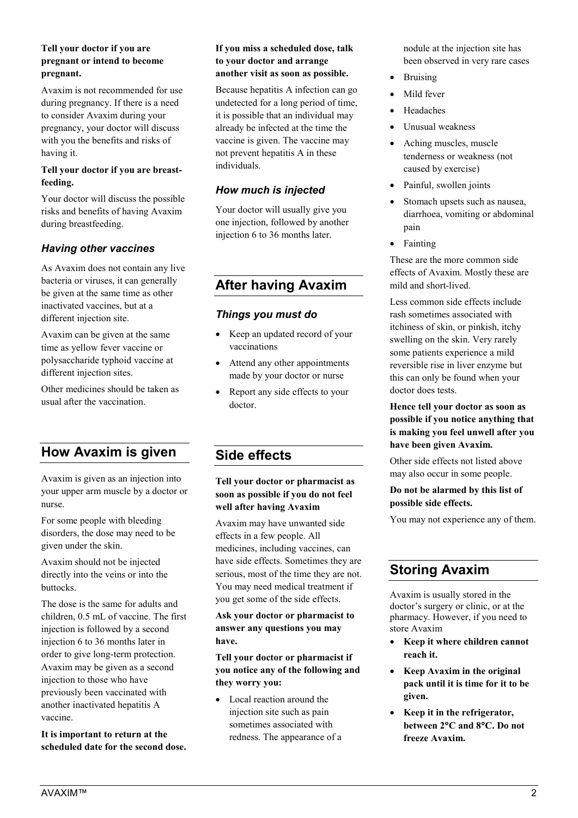### **Tell your doctor if you are pregnant or intend to become pregnant.**

Avaxim is not recommended for use during pregnancy. If there is a need to consider Avaxim during your pregnancy, your doctor will discuss with you the benefits and risks of having it.

#### **Tell your doctor if you are breastfeeding.**

Your doctor will discuss the possible risks and benefits of having Avaxim during breastfeeding.

### *Having other vaccines*

As Avaxim does not contain any live bacteria or viruses, it can generally be given at the same time as other inactivated vaccines, but at a different injection site.

Avaxim can be given at the same time as yellow fever vaccine or polysaccharide typhoid vaccine at different injection sites.

Other medicines should be taken as usual after the vaccination.

# **How Avaxim is given**

Avaxim is given as an injection into your upper arm muscle by a doctor or nurse.

For some people with bleeding disorders, the dose may need to be given under the skin.

Avaxim should not be injected directly into the veins or into the buttocks.

The dose is the same for adults and children, 0.5 mL of vaccine. The first injection is followed by a second injection 6 to 36 months later in order to give long-term protection. Avaxim may be given as a second injection to those who have previously been vaccinated with another inactivated hepatitis A vaccine.

**It is important to return at the scheduled date for the second dose.** 

#### **If you miss a scheduled dose, talk to your doctor and arrange another visit as soon as possible.**

Because hepatitis A infection can go undetected for a long period of time, it is possible that an individual may already be infected at the time the vaccine is given. The vaccine may not prevent hepatitis A in these individuals.

### *How much is injected*

Your doctor will usually give you one injection, followed by another injection 6 to 36 months later.

# **After having Avaxim**

### *Things you must do*

- Keep an updated record of your vaccinations
- Attend any other appointments made by your doctor or nurse
- Report any side effects to your doctor.

# **Side effects**

### **Tell your doctor or pharmacist as soon as possible if you do not feel well after having Avaxim**

Avaxim may have unwanted side effects in a few people. All medicines, including vaccines, can have side effects. Sometimes they are serious, most of the time they are not. You may need medical treatment if you get some of the side effects.

**Ask your doctor or pharmacist to answer any questions you may have.**

**Tell your doctor or pharmacist if you notice any of the following and they worry you:**

• Local reaction around the injection site such as pain sometimes associated with redness. The appearance of a nodule at the injection site has been observed in very rare cases

- Bruising
- Mild fever
- **Headaches**
- Unusual weakness
- Aching muscles, muscle tenderness or weakness (not caused by exercise)
- Painful, swollen joints
- Stomach upsets such as nausea. diarrhoea, vomiting or abdominal pain
- Fainting

These are the more common side effects of Avaxim. Mostly these are mild and short-lived.

Less common side effects include rash sometimes associated with itchiness of skin, or pinkish, itchy swelling on the skin. Very rarely some patients experience a mild reversible rise in liver enzyme but this can only be found when your doctor does tests.

### **Hence tell your doctor as soon as possible if you notice anything that is making you feel unwell after you have been given Avaxim.**

Other side effects not listed above may also occur in some people.

### **Do not be alarmed by this list of possible side effects.**

You may not experience any of them.

# **Storing Avaxim**

Avaxim is usually stored in the doctor's surgery or clinic, or at the pharmacy. However, if you need to store Avaxim

- **Keep it where children cannot reach it.**
- **Keep Avaxim in the original pack until it is time for it to be given.**
- **Keep it in the refrigerator, between 2**°**C and 8**°**C. Do not freeze Avaxim.**